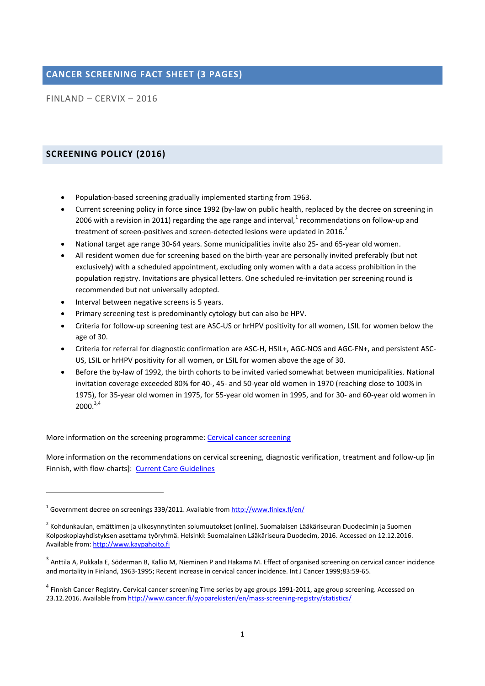## **CANCER SCREENING FACT SHEET (3 PAGES)**

FINLAND – CERVIX – 2016

### **SCREENING POLICY (2016)**

1

- Population-based screening gradually implemented starting from 1963.
- Current screening policy in force since 1992 (by-law on public health, replaced by the decree on screening in 2006 with a revision in 2011) regarding the age range and interval, $^{1}$  recommendations on follow-up and treatment of screen-positives and screen-detected lesions were updated in 2016.<sup>2</sup>
- National target age range 30-64 years. Some municipalities invite also 25- and 65-year old women.
- All resident women due for screening based on the birth-year are personally invited preferably (but not exclusively) with a scheduled appointment, excluding only women with a data access prohibition in the population registry. Invitations are physical letters. One scheduled re-invitation per screening round is recommended but not universally adopted.
- Interval between negative screens is 5 years.
- Primary screening test is predominantly cytology but can also be HPV.
- Criteria for follow-up screening test are ASC-US or hrHPV positivity for all women, LSIL for women below the age of 30.
- Criteria for referral for diagnostic confirmation are ASC-H, HSIL+, AGC-NOS and AGC-FN+, and persistent ASC-US, LSIL or hrHPV positivity for all women, or LSIL for women above the age of 30.
- Before the by-law of 1992, the birth cohorts to be invited varied somewhat between municipalities. National invitation coverage exceeded 80% for 40-, 45- and 50-year old women in 1970 (reaching close to 100% in 1975), for 35-year old women in 1975, for 55-year old women in 1995, and for 30- and 60-year old women in  $2000.<sup>3,4</sup>$

More information on the screening programme[: Cervical cancer screening](http://www.cancer.fi/syoparekisteri/en/mass-screening-registry/cervical_cancer_screening/)

More information on the recommendations on cervical screening, diagnostic verification, treatment and follow-up [in Finnish, with flow-charts]: [Current Care Guidelines](http://www.kaypahoito.fi/web/kh/suositukset/suositus?id=hoi50049#K1)

<sup>&</sup>lt;sup>1</sup> Government decree on screenings 339/2011. Available fro[m http://www.finlex.fi/en/](http://www.finlex.fi/en/)

<sup>&</sup>lt;sup>2</sup> Kohdunkaulan, emättimen ja ulkosynnytinten solumuutokset (online). Suomalaisen Lääkäriseuran Duodecimin ja Suomen Kolposkopiayhdistyksen asettama työryhmä. Helsinki: Suomalainen Lääkäriseura Duodecim, 2016. Accessed on 12.12.2016. Available from[: http://www.kaypahoito.fi](http://www.kaypahoito.fi/)

<sup>&</sup>lt;sup>3</sup> Anttila A, Pukkala E, Söderman B, Kallio M, Nieminen P and Hakama M. Effect of organised screening on cervical cancer incidence and mortality in Finland, 1963-1995; Recent increase in cervical cancer incidence. Int J Cancer 1999;83:59-65.

<sup>&</sup>lt;sup>4</sup> Finnish Cancer Registry. Cervical cancer screening Time series by age groups 1991-2011, age group screening. Accessed on 23.12.2016. Available fro[m http://www.cancer.fi/syoparekisteri/en/mass-screening-registry/statistics/](http://www.cancer.fi/syoparekisteri/en/mass-screening-registry/statistics/)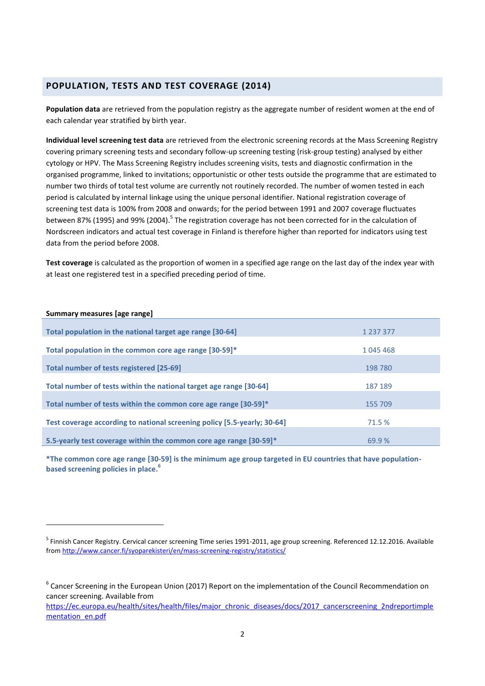### **POPULATION, TESTS AND TEST COVERAGE (2014)**

**Population data** are retrieved from the population registry as the aggregate number of resident women at the end of each calendar year stratified by birth year.

**Individual level screening test data** are retrieved from the electronic screening records at the Mass Screening Registry covering primary screening tests and secondary follow-up screening testing (risk-group testing) analysed by either cytology or HPV. The Mass Screening Registry includes screening visits, tests and diagnostic confirmation in the organised programme, linked to invitations; opportunistic or other tests outside the programme that are estimated to number two thirds of total test volume are currently not routinely recorded. The number of women tested in each period is calculated by internal linkage using the unique personal identifier. National registration coverage of screening test data is 100% from 2008 and onwards; for the period between 1991 and 2007 coverage fluctuates between 87% (1995) and 99% (2004).<sup>5</sup> The registration coverage has not been corrected for in the calculation of Nordscreen indicators and actual test coverage in Finland is therefore higher than reported for indicators using test data from the period before 2008.

**Test coverage** is calculated as the proportion of women in a specified age range on the last day of the index year with at least one registered test in a specified preceding period of time.

#### **Summary measures [age range]**

**.** 

| Total population in the national target age range [30-64]                | 1 237 377 |
|--------------------------------------------------------------------------|-----------|
|                                                                          |           |
| Total population in the common core age range [30-59]*                   | 1045468   |
|                                                                          |           |
| Total number of tests registered [25-69]                                 | 198 780   |
|                                                                          |           |
| Total number of tests within the national target age range [30-64]       | 187 189   |
| Total number of tests within the common core age range [30-59]*          | 155 709   |
|                                                                          |           |
| Test coverage according to national screening policy [5.5-yearly; 30-64] | 71.5 %    |
|                                                                          |           |
| 5.5-yearly test coverage within the common core age range [30-59]*       | 69.9%     |

**\*The common core age range [30-59] is the minimum age group targeted in EU countries that have populationbased screening policies in place. 6**

<sup>&</sup>lt;sup>5</sup> Finnish Cancer Registry. Cervical cancer screening Time series 1991-2011, age group screening. Referenced 12.12.2016. Available fro[m http://www.cancer.fi/syoparekisteri/en/mass-screening-registry/statistics/](http://www.cancer.fi/syoparekisteri/en/mass-screening-registry/statistics/)

<sup>&</sup>lt;sup>6</sup> Cancer Screening in the European Union (2017) Report on the implementation of the Council Recommendation on cancer screening. Available from

[https://ec.europa.eu/health/sites/health/files/major\\_chronic\\_diseases/docs/2017\\_cancerscreening\\_2ndreportimple](https://ec.europa.eu/health/sites/health/files/major_chronic_diseases/docs/2017_cancerscreening_2ndreportimplementation_en.pdf) [mentation\\_en.pdf](https://ec.europa.eu/health/sites/health/files/major_chronic_diseases/docs/2017_cancerscreening_2ndreportimplementation_en.pdf)